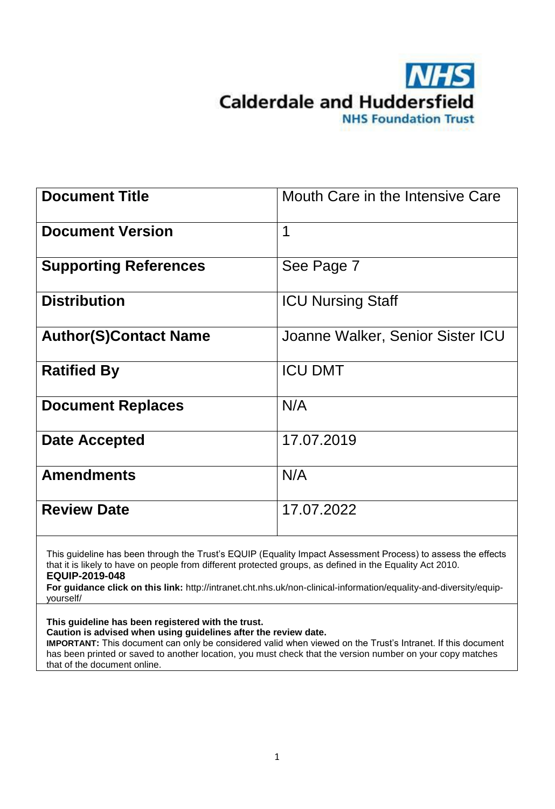

| <b>Document Title</b>        | Mouth Care in the Intensive Care |
|------------------------------|----------------------------------|
| <b>Document Version</b>      | 1                                |
| <b>Supporting References</b> | See Page 7                       |
| <b>Distribution</b>          | <b>ICU Nursing Staff</b>         |
| <b>Author(S)Contact Name</b> | Joanne Walker, Senior Sister ICU |
| <b>Ratified By</b>           | <b>ICU DMT</b>                   |
| <b>Document Replaces</b>     | N/A                              |
| <b>Date Accepted</b>         | 17.07.2019                       |
| <b>Amendments</b>            | N/A                              |
| <b>Review Date</b>           | 17.07.2022                       |

This guideline has been through the Trust's EQUIP (Equality Impact Assessment Process) to assess the effects that it is likely to have on people from different protected groups, as defined in the Equality Act 2010. **EQUIP-2019-048**

**For guidance click on this link:** http://intranet.cht.nhs.uk/non-clinical-information/equality-and-diversity/equipyourself/

**This guideline has been registered with the trust. Caution is advised when using guidelines after the review date.** 

**IMPORTANT:** This document can only be considered valid when viewed on the Trust's Intranet. If this document has been printed or saved to another location, you must check that the version number on your copy matches that of the document online.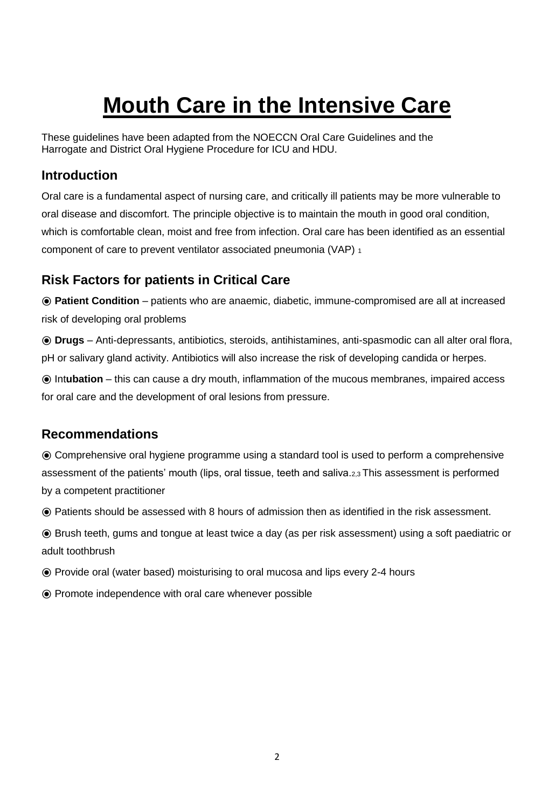# **Mouth Care in the Intensive Care**

These guidelines have been adapted from the NOECCN Oral Care Guidelines and the Harrogate and District Oral Hygiene Procedure for ICU and HDU.

## **Introduction**

Oral care is a fundamental aspect of nursing care, and critically ill patients may be more vulnerable to oral disease and discomfort. The principle objective is to maintain the mouth in good oral condition, which is comfortable clean, moist and free from infection. Oral care has been identified as an essential component of care to prevent ventilator associated pneumonia (VAP) <sup>1</sup>

## **Risk Factors for patients in Critical Care**

⦿ **Patient Condition** – patients who are anaemic, diabetic, immune-compromised are all at increased risk of developing oral problems

⦿ **Drugs** – Anti-depressants, antibiotics, steroids, antihistamines, anti-spasmodic can all alter oral flora, pH or salivary gland activity. Antibiotics will also increase the risk of developing candida or herpes.

⦿ Int**ubation** – this can cause a dry mouth, inflammation of the mucous membranes, impaired access for oral care and the development of oral lesions from pressure.

## **Recommendations**

⦿ Comprehensive oral hygiene programme using a standard tool is used to perform a comprehensive assessment of the patients' mouth (lips, oral tissue, teeth and saliva.2,3 This assessment is performed by a competent practitioner

⦿ Patients should be assessed with 8 hours of admission then as identified in the risk assessment.

⦿ Brush teeth, gums and tongue at least twice a day (as per risk assessment) using a soft paediatric or adult toothbrush

- ⦿ Provide oral (water based) moisturising to oral mucosa and lips every 2-4 hours
- ⦿ Promote independence with oral care whenever possible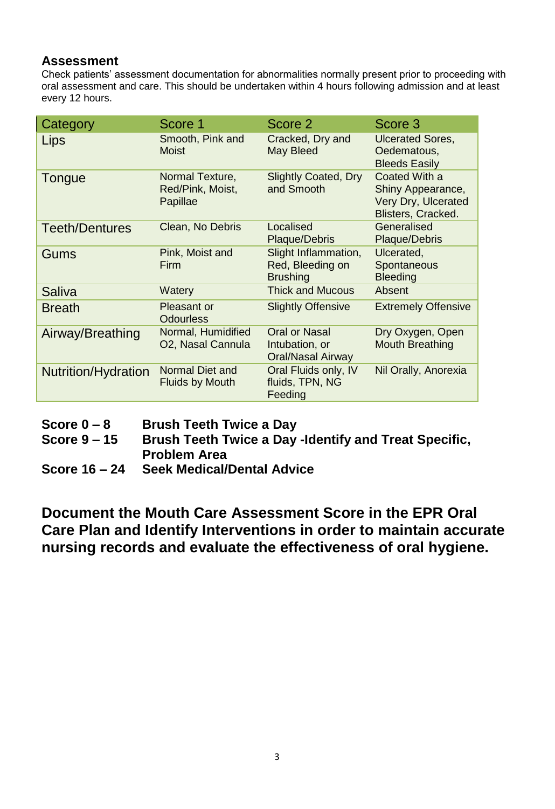#### **Assessment**

Check patients' assessment documentation for abnormalities normally present prior to proceeding with oral assessment and care. This should be undertaken within 4 hours following admission and at least every 12 hours.

| Category                   | Score 1                                         | Score 2                                                            | Score 3                                                                         |
|----------------------------|-------------------------------------------------|--------------------------------------------------------------------|---------------------------------------------------------------------------------|
| Lips                       | Smooth, Pink and<br><b>Moist</b>                | Cracked, Dry and<br><b>May Bleed</b>                               | <b>Ulcerated Sores,</b><br>Oedematous,<br><b>Bleeds Easily</b>                  |
| Tongue                     | Normal Texture,<br>Red/Pink, Moist,<br>Papillae | <b>Slightly Coated, Dry</b><br>and Smooth                          | Coated With a<br>Shiny Appearance,<br>Very Dry, Ulcerated<br>Blisters, Cracked. |
| <b>Teeth/Dentures</b>      | Clean, No Debris                                | Localised<br><b>Plaque/Debris</b>                                  | Generalised<br>Plaque/Debris                                                    |
| Gums                       | Pink, Moist and<br><b>Firm</b>                  | Slight Inflammation,<br>Red, Bleeding on<br><b>Brushing</b>        | Ulcerated,<br>Spontaneous<br><b>Bleeding</b>                                    |
| Saliva                     | Watery                                          | <b>Thick and Mucous</b>                                            | Absent                                                                          |
| <b>Breath</b>              | Pleasant or<br><b>Odourless</b>                 | <b>Slightly Offensive</b>                                          | <b>Extremely Offensive</b>                                                      |
| Airway/Breathing           | Normal, Humidified<br>O2, Nasal Cannula         | <b>Oral or Nasal</b><br>Intubation, or<br><b>Oral/Nasal Airway</b> | Dry Oxygen, Open<br><b>Mouth Breathing</b>                                      |
| <b>Nutrition/Hydration</b> | Normal Diet and<br><b>Fluids by Mouth</b>       | Oral Fluids only, IV<br>fluids, TPN, NG<br>Feeding                 | Nil Orally, Anorexia                                                            |

**Score 0 – 8 Brush Teeth Twice a Day**

**Score 9 – 15 Brush Teeth Twice a Day -Identify and Treat Specific, Problem Area**

**Score 16 – 24 Seek Medical/Dental Advice**

**Document the Mouth Care Assessment Score in the EPR Oral Care Plan and Identify Interventions in order to maintain accurate nursing records and evaluate the effectiveness of oral hygiene.**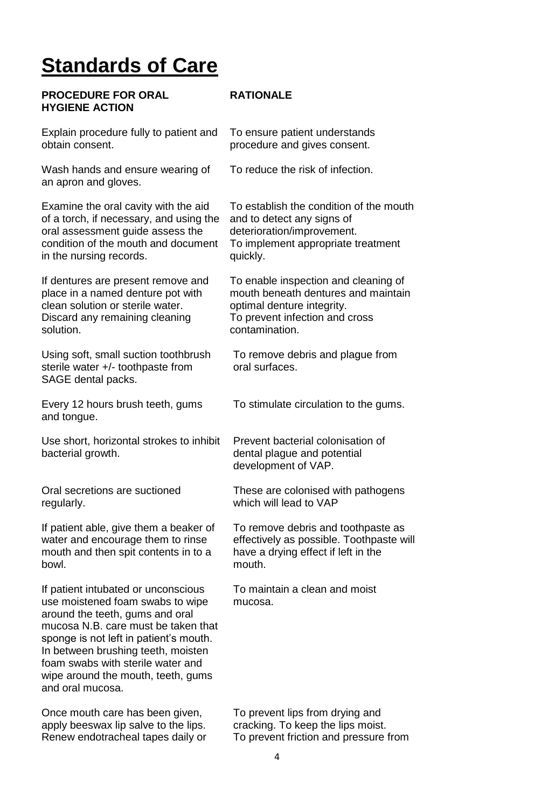## **Standards of Care**

**PROCEDURE FOR ORAL** 

**HYGIENE ACTION** 

#### **RATIONALE**

| Explain procedure fully to patient and |  |
|----------------------------------------|--|
| obtain consent.                        |  |

Wash hands and ensure wearing of an apron and gloves.

Examine the oral cavity with the aid of a torch, if necessary, and using the oral assessment guide assess the condition of the mouth and document in the nursing records.

If dentures are present remove and place in a named denture pot with clean solution or sterile water. Discard any remaining cleaning solution.

Using soft, small suction toothbrush sterile water +/- toothpaste from SAGE dental packs.

Every 12 hours brush teeth, gums and tongue.

Use short, horizontal strokes to inhibit bacterial growth.

Oral secretions are suctioned regularly.

If patient able, give them a beaker of water and encourage them to rinse mouth and then spit contents in to a bowl.

If patient intubated or unconscious use moistened foam swabs to wipe around the teeth, gums and oral mucosa N.B. care must be taken that sponge is not left in patient's mouth. In between brushing teeth, moisten foam swabs with sterile water and wipe around the mouth, teeth, gums and oral mucosa.

Once mouth care has been given, apply beeswax lip salve to the lips.

To ensure patient understands procedure and gives consent.

To reduce the risk of infection.

To establish the condition of the mouth and to detect any signs of deterioration/improvement. To implement appropriate treatment quickly.

To enable inspection and cleaning of mouth beneath dentures and maintain optimal denture integrity. To prevent infection and cross contamination.

To remove debris and plague from oral surfaces.

To stimulate circulation to the gums.

Prevent bacterial colonisation of dental plague and potential development of VAP.

These are colonised with pathogens which will lead to VAP

To remove debris and toothpaste as effectively as possible. Toothpaste will have a drying effect if left in the mouth.

To maintain a clean and moist mucosa.

To prevent lips from drying and cracking. To keep the lips moist. Renew endotracheal tapes daily or To prevent friction and pressure from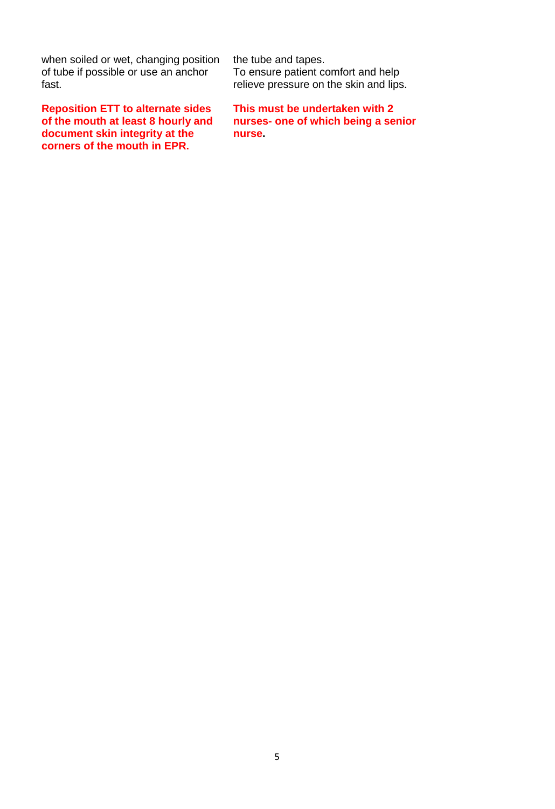when soiled or wet, changing position of tube if possible or use an anchor fast.

**Reposition ETT to alternate sides of the mouth at least 8 hourly and document skin integrity at the corners of the mouth in EPR.**

the tube and tapes. To ensure patient comfort and help relieve pressure on the skin and lips.

**This must be undertaken with 2 nurses- one of which being a senior nurse.**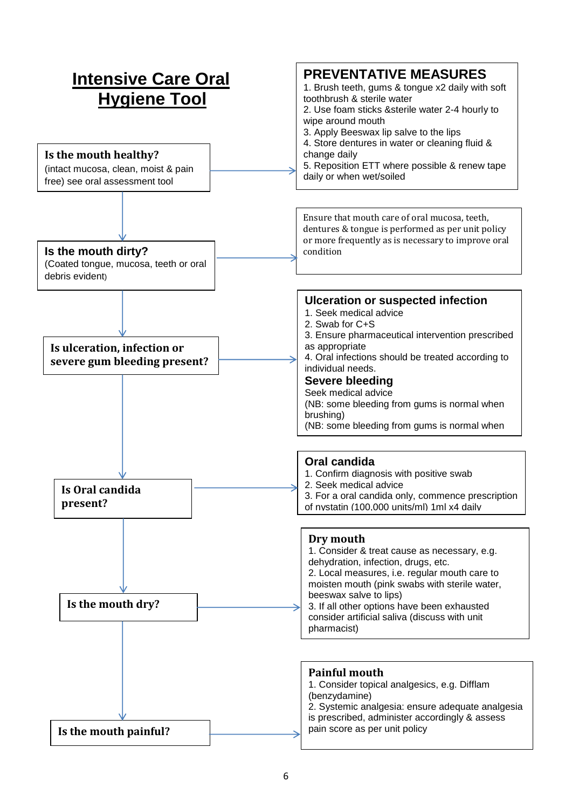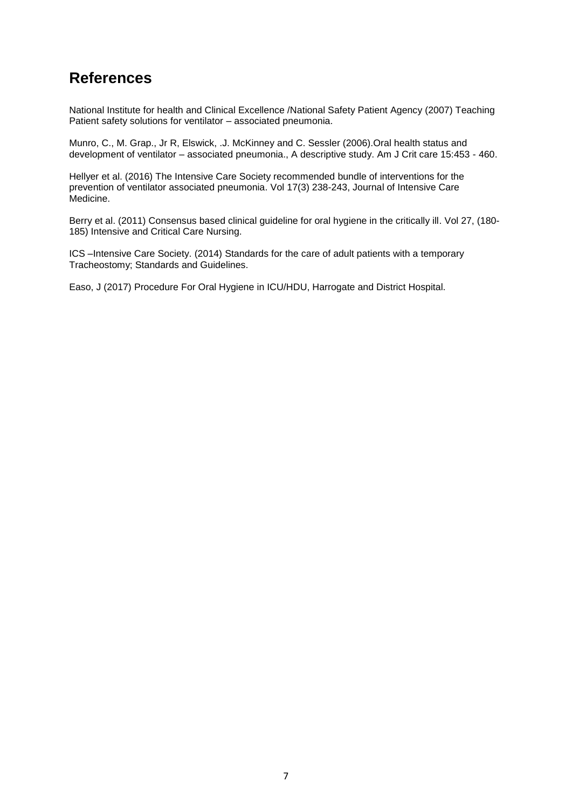## **References**

National Institute for health and Clinical Excellence /National Safety Patient Agency (2007) Teaching Patient safety solutions for ventilator – associated pneumonia.

Munro, C., M. Grap., Jr R, Elswick, .J. McKinney and C. Sessler (2006).Oral health status and development of ventilator – associated pneumonia., A descriptive study. Am J Crit care 15:453 - 460.

Hellyer et al. (2016) The Intensive Care Society recommended bundle of interventions for the prevention of ventilator associated pneumonia. Vol 17(3) 238-243, Journal of Intensive Care Medicine.

Berry et al. (2011) Consensus based clinical guideline for oral hygiene in the critically ill. Vol 27, (180- 185) Intensive and Critical Care Nursing.

ICS –Intensive Care Society. (2014) Standards for the care of adult patients with a temporary Tracheostomy; Standards and Guidelines.

Easo, J (2017) Procedure For Oral Hygiene in ICU/HDU, Harrogate and District Hospital.